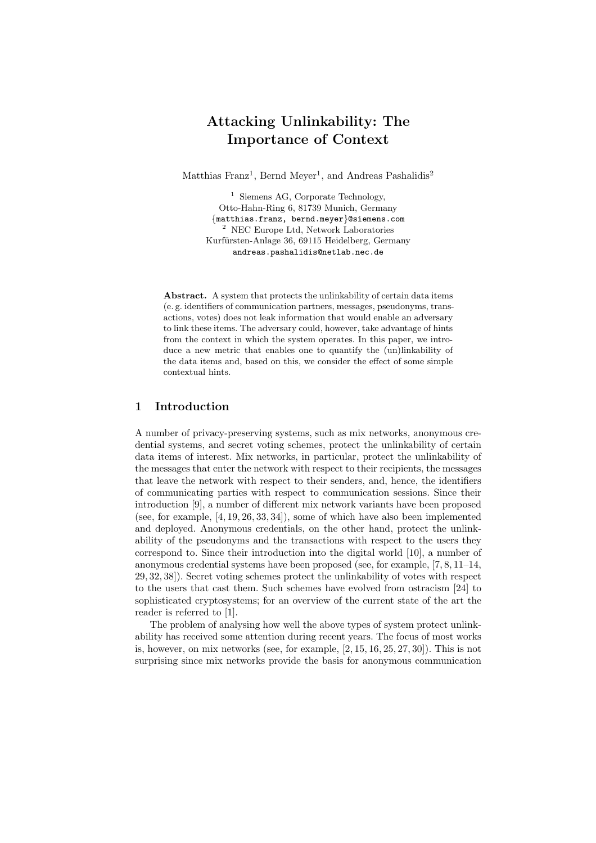# Attacking Unlinkability: The Importance of Context

Matthias Franz<sup>1</sup>, Bernd Meyer<sup>1</sup>, and Andreas Pashalidis<sup>2</sup>

<sup>1</sup> Siemens AG, Corporate Technology, Otto-Hahn-Ring 6, 81739 Munich, Germany {matthias.franz, bernd.meyer}@siemens.com  $^{\rm 2}$  NEC Europe Ltd, Network Laboratories Kurfürsten-Anlage 36, 69115 Heidelberg, Germany andreas.pashalidis@netlab.nec.de

Abstract. A system that protects the unlinkability of certain data items (e. g. identifiers of communication partners, messages, pseudonyms, transactions, votes) does not leak information that would enable an adversary to link these items. The adversary could, however, take advantage of hints from the context in which the system operates. In this paper, we introduce a new metric that enables one to quantify the (un)linkability of the data items and, based on this, we consider the effect of some simple contextual hints.

## 1 Introduction

A number of privacy-preserving systems, such as mix networks, anonymous credential systems, and secret voting schemes, protect the unlinkability of certain data items of interest. Mix networks, in particular, protect the unlinkability of the messages that enter the network with respect to their recipients, the messages that leave the network with respect to their senders, and, hence, the identifiers of communicating parties with respect to communication sessions. Since their introduction [9], a number of different mix network variants have been proposed (see, for example, [4, 19, 26, 33, 34]), some of which have also been implemented and deployed. Anonymous credentials, on the other hand, protect the unlinkability of the pseudonyms and the transactions with respect to the users they correspond to. Since their introduction into the digital world [10], a number of anonymous credential systems have been proposed (see, for example, [7, 8, 11–14, 29, 32, 38]). Secret voting schemes protect the unlinkability of votes with respect to the users that cast them. Such schemes have evolved from ostracism [24] to sophisticated cryptosystems; for an overview of the current state of the art the reader is referred to [1].

The problem of analysing how well the above types of system protect unlinkability has received some attention during recent years. The focus of most works is, however, on mix networks (see, for example, [2, 15, 16, 25, 27, 30]). This is not surprising since mix networks provide the basis for anonymous communication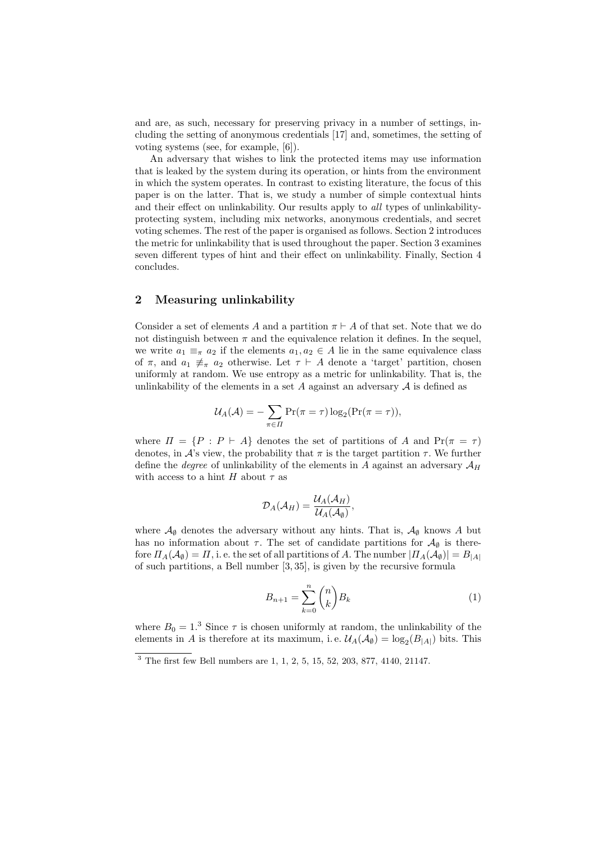and are, as such, necessary for preserving privacy in a number of settings, including the setting of anonymous credentials [17] and, sometimes, the setting of voting systems (see, for example, [6]).

An adversary that wishes to link the protected items may use information that is leaked by the system during its operation, or hints from the environment in which the system operates. In contrast to existing literature, the focus of this paper is on the latter. That is, we study a number of simple contextual hints and their effect on unlinkability. Our results apply to all types of unlinkabilityprotecting system, including mix networks, anonymous credentials, and secret voting schemes. The rest of the paper is organised as follows. Section 2 introduces the metric for unlinkability that is used throughout the paper. Section 3 examines seven different types of hint and their effect on unlinkability. Finally, Section 4 concludes.

## 2 Measuring unlinkability

Consider a set of elements A and a partition  $\pi \vdash A$  of that set. Note that we do not distinguish between  $\pi$  and the equivalence relation it defines. In the sequel, we write  $a_1 \equiv_{\pi} a_2$  if the elements  $a_1, a_2 \in A$  lie in the same equivalence class of  $\pi$ , and  $a_1 \neq \pi$  a<sub>2</sub> otherwise. Let  $\tau \vdash A$  denote a 'target' partition, chosen uniformly at random. We use entropy as a metric for unlinkability. That is, the unlinkability of the elements in a set  $A$  against an adversary  $A$  is defined as

$$
U_A(\mathcal{A}) = -\sum_{\pi \in \Pi} \Pr(\pi = \tau) \log_2(\Pr(\pi = \tau)),
$$

where  $\Pi = \{P : P \vdash A\}$  denotes the set of partitions of A and  $Pr(\pi = \tau)$ denotes, in A's view, the probability that  $\pi$  is the target partition  $\tau$ . We further define the *degree* of unlinkability of the elements in A against an adversary  $A_H$ with access to a hint H about  $\tau$  as

$$
\mathcal{D}_A(\mathcal{A}_H)=\frac{\mathcal{U}_A(\mathcal{A}_H)}{\mathcal{U}_A(\mathcal{A}_\emptyset)},
$$

where  $\mathcal{A}_{\emptyset}$  denotes the adversary without any hints. That is,  $\mathcal{A}_{\emptyset}$  knows A but has no information about  $\tau$ . The set of candidate partitions for  $\mathcal{A}_{\emptyset}$  is therefore  $\Pi_A(\mathcal{A}_{\emptyset}) = \Pi$ , i. e. the set of all partitions of A. The number  $|\Pi_A(\mathcal{A}_{\emptyset})| = B_{\perp A}$ of such partitions, a Bell number [3, 35], is given by the recursive formula

$$
B_{n+1} = \sum_{k=0}^{n} \binom{n}{k} B_k \tag{1}
$$

where  $B_0 = 1.3$  Since  $\tau$  is chosen uniformly at random, the unlinkability of the elements in A is therefore at its maximum, i.e.  $\mathcal{U}_A(\mathcal{A}_{\emptyset}) = \log_2(B_{|A|})$  bits. This

 $\frac{3}{3}$  The first few Bell numbers are 1, 1, 2, 5, 15, 52, 203, 877, 4140, 21147.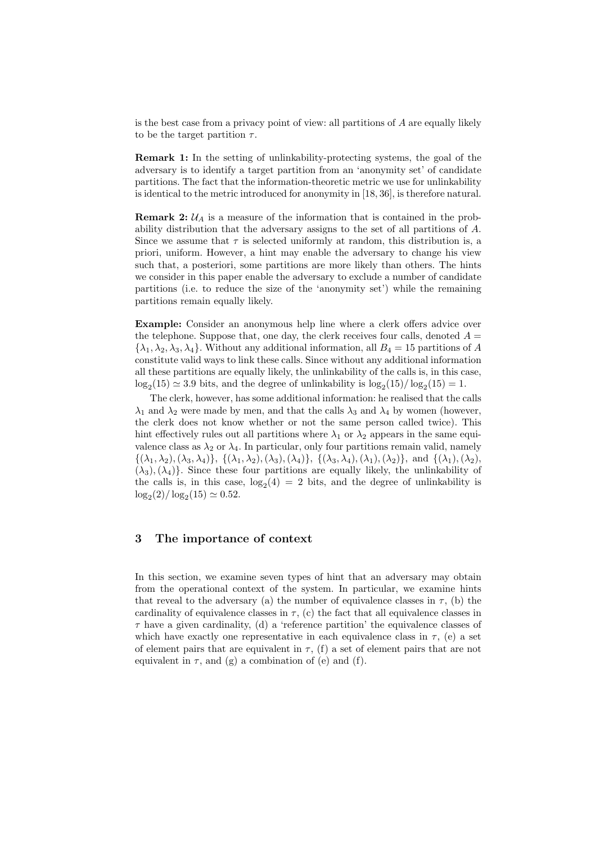is the best case from a privacy point of view: all partitions of A are equally likely to be the target partition  $\tau$ .

Remark 1: In the setting of unlinkability-protecting systems, the goal of the adversary is to identify a target partition from an 'anonymity set' of candidate partitions. The fact that the information-theoretic metric we use for unlinkability is identical to the metric introduced for anonymity in [18, 36], is therefore natural.

**Remark 2:**  $\mathcal{U}_A$  is a measure of the information that is contained in the probability distribution that the adversary assigns to the set of all partitions of A. Since we assume that  $\tau$  is selected uniformly at random, this distribution is, a priori, uniform. However, a hint may enable the adversary to change his view such that, a posteriori, some partitions are more likely than others. The hints we consider in this paper enable the adversary to exclude a number of candidate partitions (i.e. to reduce the size of the 'anonymity set') while the remaining partitions remain equally likely.

Example: Consider an anonymous help line where a clerk offers advice over the telephone. Suppose that, one day, the clerk receives four calls, denoted  $A =$  $\{\lambda_1, \lambda_2, \lambda_3, \lambda_4\}$ . Without any additional information, all  $B_4 = 15$  partitions of A constitute valid ways to link these calls. Since without any additional information all these partitions are equally likely, the unlinkability of the calls is, in this case,  $\log_2(15) \simeq 3.9$  bits, and the degree of unlinkability is  $\log_2(15)/\log_2(15) = 1$ .

The clerk, however, has some additional information: he realised that the calls  $\lambda_1$  and  $\lambda_2$  were made by men, and that the calls  $\lambda_3$  and  $\lambda_4$  by women (however, the clerk does not know whether or not the same person called twice). This hint effectively rules out all partitions where  $\lambda_1$  or  $\lambda_2$  appears in the same equivalence class as  $\lambda_2$  or  $\lambda_4$ . In particular, only four partitions remain valid, namely  $\{(\lambda_1, \lambda_2), (\lambda_3, \lambda_4)\}, \{(\lambda_1, \lambda_2), (\lambda_3), (\lambda_4)\}, \{(\lambda_3, \lambda_4), (\lambda_1), (\lambda_2)\}, \text{ and } \{(\lambda_1), (\lambda_2),$  $(\lambda_3),(\lambda_4)$ . Since these four partitions are equally likely, the unlinkability of the calls is, in this case,  $log_2(4) = 2$  bits, and the degree of unlinkability is  $\log_2(2) / \log_2(15) \simeq 0.52.$ 

## 3 The importance of context

In this section, we examine seven types of hint that an adversary may obtain from the operational context of the system. In particular, we examine hints that reveal to the adversary (a) the number of equivalence classes in  $\tau$ , (b) the cardinality of equivalence classes in  $\tau$ , (c) the fact that all equivalence classes in  $\tau$  have a given cardinality, (d) a 'reference partition' the equivalence classes of which have exactly one representative in each equivalence class in  $\tau$ , (e) a set of element pairs that are equivalent in  $\tau$ , (f) a set of element pairs that are not equivalent in  $\tau$ , and (g) a combination of (e) and (f).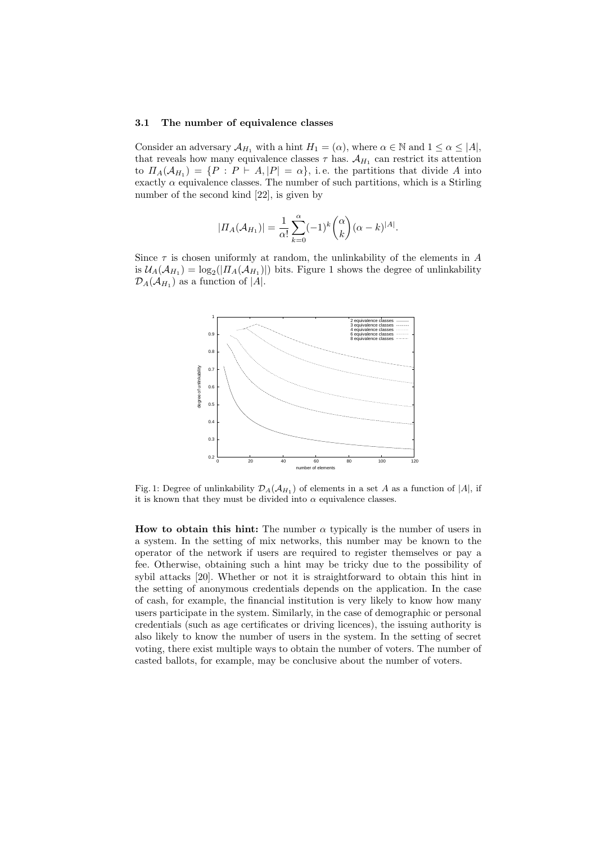#### 3.1 The number of equivalence classes

Consider an adversary  $\mathcal{A}_{H_1}$  with a hint  $H_1 = (\alpha)$ , where  $\alpha \in \mathbb{N}$  and  $1 \leq \alpha \leq |A|$ , that reveals how many equivalence classes  $\tau$  has.  $\mathcal{A}_{H_1}$  can restrict its attention to  $\Pi_A(\mathcal{A}_{H_1}) = \{P : P \vdash A, |P| = \alpha\},\$ i. e. the partitions that divide A into exactly  $\alpha$  equivalence classes. The number of such partitions, which is a Stirling number of the second kind [22], is given by

$$
|II_A(\mathcal{A}_{H_1})| = \frac{1}{\alpha!} \sum_{k=0}^{\alpha} (-1)^k {\binom{\alpha}{k}} (\alpha - k)^{|A|}.
$$

Since  $\tau$  is chosen uniformly at random, the unlinkability of the elements in A is  $\mathcal{U}_A(\mathcal{A}_{H_1}) = \log_2(|\Pi_A(\mathcal{A}_{H_1})|)$  bits. Figure 1 shows the degree of unlinkability  $\mathcal{D}_A(\mathcal{A}_{H_1})$  as a function of |A|.



Fig. 1: Degree of unlinkability  $\mathcal{D}_A(\mathcal{A}_{H_1})$  of elements in a set A as a function of  $|A|$ , if it is known that they must be divided into  $\alpha$  equivalence classes.

How to obtain this hint: The number  $\alpha$  typically is the number of users in a system. In the setting of mix networks, this number may be known to the operator of the network if users are required to register themselves or pay a fee. Otherwise, obtaining such a hint may be tricky due to the possibility of sybil attacks [20]. Whether or not it is straightforward to obtain this hint in the setting of anonymous credentials depends on the application. In the case of cash, for example, the financial institution is very likely to know how many users participate in the system. Similarly, in the case of demographic or personal credentials (such as age certificates or driving licences), the issuing authority is also likely to know the number of users in the system. In the setting of secret voting, there exist multiple ways to obtain the number of voters. The number of casted ballots, for example, may be conclusive about the number of voters.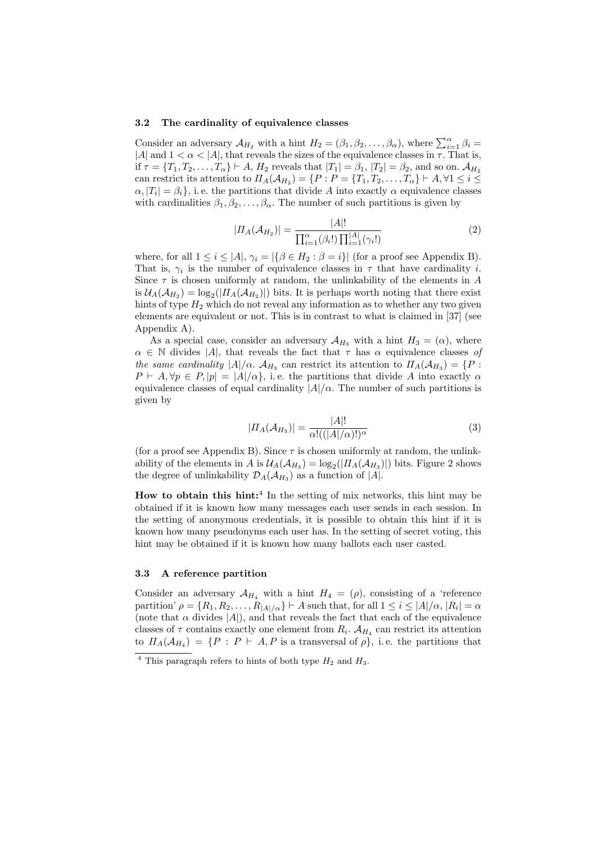#### 3.2 The cardinality of equivalence classes

Consider an adversary  $\mathcal{A}_{H_2}$  with a hint  $H_2 = (\beta_1, \beta_2, \dots, \beta_\alpha)$ , where  $\sum_{i=1}^{\alpha} \beta_i =$ |A| and  $1 < \alpha <$ |A|, that reveals the sizes of the equivalence classes in  $\tau$ . That is, if  $\tau = \{T_1, T_2, \ldots, T_{\alpha}\} \vdash A, H_2$  reveals that  $|T_1| = \beta_1, |T_2| = \beta_2$ , and so on.  $\mathcal{A}_{H_2}$ can restrict its attention to  $\Pi_A(\mathcal{A}_{H_2}) = \{P : P = \{T_1, T_2, \dots, T_\alpha\} \vdash A, \forall 1 \leq i \leq I\}$  $\alpha$ ,  $|T_i| = \beta_i$ , i.e. the partitions that divide A into exactly  $\alpha$  equivalence classes with cardinalities  $\beta_1, \beta_2, \ldots, \beta_\alpha$ . The number of such partitions is given by

$$
|\Pi_A(\mathcal{A}_{H_2})| = \frac{|A|!}{\prod_{i=1}^{\alpha}(\beta_i!) \prod_{i=1}^{|A|}(\gamma_i!)}
$$
(2)

where, for all  $1 \leq i \leq |A|$ ,  $\gamma_i = |\{\beta \in H_2 : \beta = i\}|$  (for a proof see Appendix B). That is,  $\gamma_i$  is the number of equivalence classes in  $\tau$  that have cardinality *i*. Since  $\tau$  is chosen uniformly at random, the unlinkability of the elements in A is  $\mathcal{U}_A(\mathcal{A}_{H_2}) = \log_2(|\Pi_A(\mathcal{A}_{H_2})|)$  bits. It is perhaps worth noting that there exist hints of type  $H_2$  which do not reveal any information as to whether any two given elements are equivalent or not. This is in contrast to what is claimed in [37] (see Appendix A).

As a special case, consider an adversary  $\mathcal{A}_{H_3}$  with a hint  $H_3 = (\alpha)$ , where  $\alpha \in \mathbb{N}$  divides |A|, that reveals the fact that  $\tau$  has  $\alpha$  equivalence classes of the same cardinality  $|A|/\alpha$ .  $\mathcal{A}_{H_3}$  can restrict its attention to  $\Pi_A(\mathcal{A}_{H_3}) = \{P :$  $P \vdash A, \forall p \in P, |p| = |A|/\alpha$ , i.e. the partitions that divide A into exactly  $\alpha$ equivalence classes of equal cardinality  $|A|/\alpha$ . The number of such partitions is given by

$$
|II_A(\mathcal{A}_{H_3})| = \frac{|A|!}{\alpha!((|A|/\alpha)!)^\alpha}
$$
\n(3)

(for a proof see Appendix B). Since  $\tau$  is chosen uniformly at random, the unlinkability of the elements in  $A$  is  $\mathcal{U}_A(\mathcal{A}_{H_3}) = \log_2(|\Pi_A(\mathcal{A}_{H_3})|)$  bits. Figure 2 shows the degree of unlinkability  $\mathcal{D}_A(\mathcal{A}_{H_3})$  as a function of |A|.

How to obtain this  $\text{hint:}^4$  In the setting of mix networks, this hint may be obtained if it is known how many messages each user sends in each session. In the setting of anonymous credentials, it is possible to obtain this hint if it is known how many pseudonyms each user has. In the setting of secret voting, this hint may be obtained if it is known how many ballots each user casted.

#### 3.3 A reference partition

Consider an adversary  $\mathcal{A}_{H_4}$  with a hint  $H_4 = (\rho)$ , consisting of a 'reference partition'  $\rho = \{R_1, R_2, \ldots, R_{|A|/\alpha}\} \vdash A$  such that, for all  $1 \leq i \leq |A|/\alpha$ ,  $|R_i| = \alpha$ (note that  $\alpha$  divides  $|A|$ ), and that reveals the fact that each of the equivalence classes of  $\tau$  contains exactly one element from  $R_i$ .  $\mathcal{A}_{H_4}$  can restrict its attention to  $\Pi_A(\mathcal{A}_{H_4}) = \{P : P \vdash A, P \text{ is a transversal of } \rho\}, \text{ i.e. the partitions that }$ 

 $\overline{4}$  This paragraph refers to hints of both type  $H_2$  and  $H_3$ .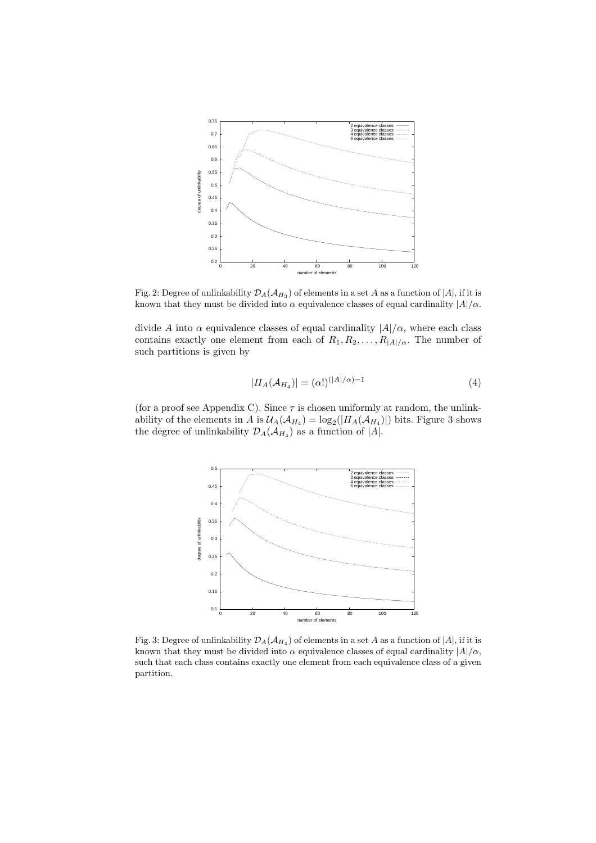

Fig. 2: Degree of unlinkability  $\mathcal{D}_A(\mathcal{A}_{H_3})$  of elements in a set A as a function of  $|A|$ , if it is known that they must be divided into  $\alpha$  equivalence classes of equal cardinality  $|A|/\alpha$ .

divide A into  $\alpha$  equivalence classes of equal cardinality  $|A|/\alpha$ , where each class contains exactly one element from each of  $R_1, R_2, \ldots, R_{|A|/\alpha}$ . The number of such partitions is given by

$$
|\Pi_A(\mathcal{A}_{H_4})| = (\alpha!)^{(|A|/\alpha)-1} \tag{4}
$$

(for a proof see Appendix C). Since  $\tau$  is chosen uniformly at random, the unlinkability of the elements in A is  $\mathcal{U}_A(\mathcal{A}_{H_4}) = \log_2(|\Pi_A(\mathcal{A}_{H_4})|)$  bits. Figure 3 shows the degree of unlinkability  $\mathcal{D}_A(\mathcal{A}_{H_4})$  as a function of |A|.



Fig. 3: Degree of unlinkability  $\mathcal{D}_A(\mathcal{A}_{H_4})$  of elements in a set  $A$  as a function of  $|A|$ , if it is known that they must be divided into  $\alpha$  equivalence classes of equal cardinality  $|A|/\alpha$ , such that each class contains exactly one element from each equivalence class of a given partition.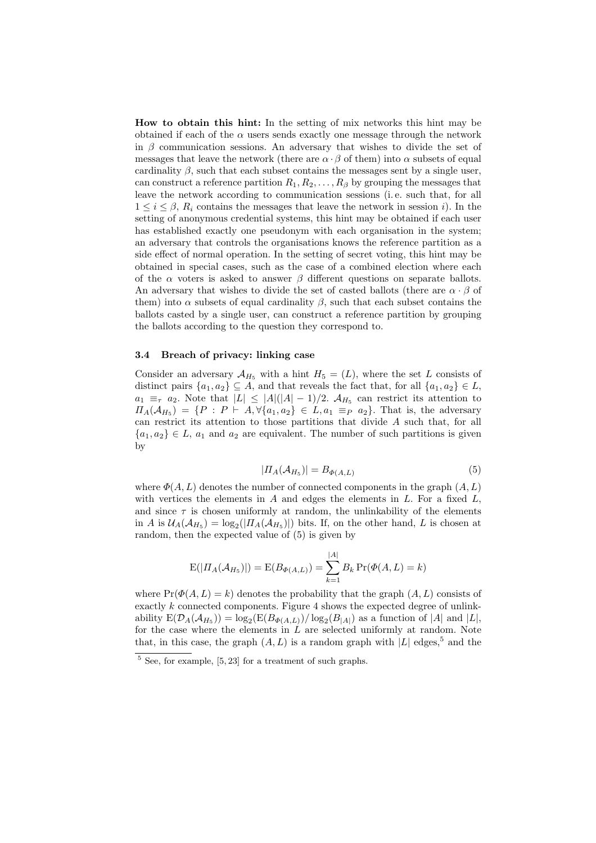How to obtain this hint: In the setting of mix networks this hint may be obtained if each of the  $\alpha$  users sends exactly one message through the network in  $\beta$  communication sessions. An adversary that wishes to divide the set of messages that leave the network (there are  $\alpha \cdot \beta$  of them) into  $\alpha$  subsets of equal cardinality  $\beta$ , such that each subset contains the messages sent by a single user, can construct a reference partition  $R_1, R_2, \ldots, R_\beta$  by grouping the messages that leave the network according to communication sessions (i. e. such that, for all  $1 \leq i \leq \beta$ ,  $R_i$  contains the messages that leave the network in session i). In the setting of anonymous credential systems, this hint may be obtained if each user has established exactly one pseudonym with each organisation in the system; an adversary that controls the organisations knows the reference partition as a side effect of normal operation. In the setting of secret voting, this hint may be obtained in special cases, such as the case of a combined election where each of the  $\alpha$  voters is asked to answer  $\beta$  different questions on separate ballots. An adversary that wishes to divide the set of casted ballots (there are  $\alpha \cdot \beta$  of them) into  $\alpha$  subsets of equal cardinality  $\beta$ , such that each subset contains the ballots casted by a single user, can construct a reference partition by grouping the ballots according to the question they correspond to.

#### 3.4 Breach of privacy: linking case

Consider an adversary  $\mathcal{A}_{H_5}$  with a hint  $H_5 = (L)$ , where the set L consists of distinct pairs  $\{a_1, a_2\} \subseteq A$ , and that reveals the fact that, for all  $\{a_1, a_2\} \in L$ ,  $a_1 \equiv_\tau a_2$ . Note that  $|L| \leq |A|(|A|-1)/2$ .  $\mathcal{A}_{H_5}$  can restrict its attention to  $\Pi_A(\mathcal{A}_{H_5}) = \{P : P \vdash A, \forall \{a_1, a_2\} \in L, a_1 \equiv_P a_2\}.$  That is, the adversary can restrict its attention to those partitions that divide A such that, for all  ${a_1, a_2} \in L$ ,  $a_1$  and  $a_2$  are equivalent. The number of such partitions is given by

$$
|\Pi_A(\mathcal{A}_{H_5})| = B_{\Phi(A,L)} \tag{5}
$$

where  $\Phi(A, L)$  denotes the number of connected components in the graph  $(A, L)$ with vertices the elements in  $A$  and edges the elements in  $L$ . For a fixed  $L$ , and since  $\tau$  is chosen uniformly at random, the unlinkability of the elements in A is  $\mathcal{U}_A(\mathcal{A}_{H_5}) = \log_2(|\Pi_A(\mathcal{A}_{H_5})|)$  bits. If, on the other hand, L is chosen at random, then the expected value of (5) is given by

$$
E(|\Pi_A(\mathcal{A}_{H_5})|) = E(B_{\Phi(A,L)}) = \sum_{k=1}^{|A|} B_k \Pr(\Phi(A,L) = k)
$$

where  $Pr(\Phi(A, L) = k)$  denotes the probability that the graph  $(A, L)$  consists of exactly k connected components. Figure 4 shows the expected degree of unlinkability  $E(D_A(\mathcal{A}_{H_5})) = \log_2(E(B_{\Phi(A,L)})/\log_2(B_{|A|})$  as a function of |A| and |L|, for the case where the elements in  $\tilde{L}$  are selected uniformly at random. Note that, in this case, the graph  $(A, L)$  is a random graph with  $|L|$  edges,<sup>5</sup> and the

 $5$  See, for example, [5, 23] for a treatment of such graphs.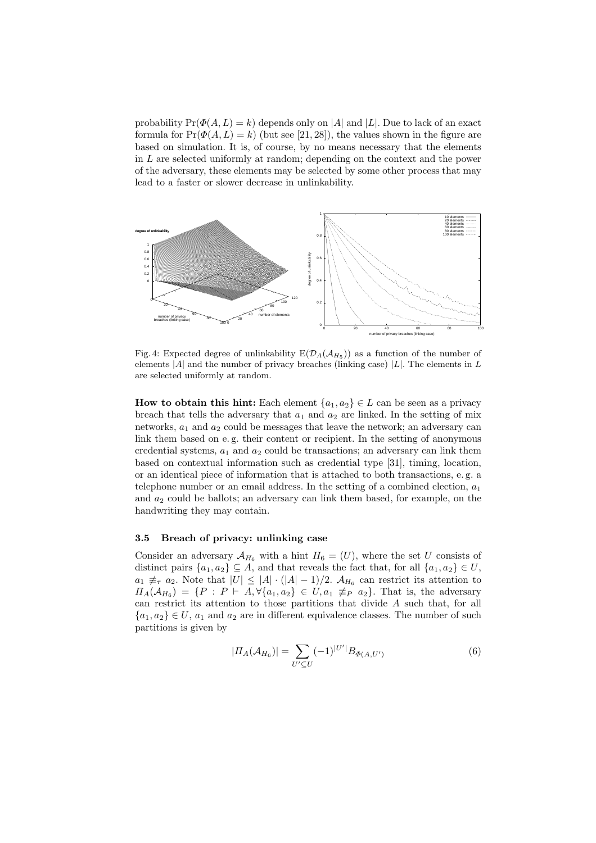probability  $Pr(\Phi(A, L) = k)$  depends only on |A| and |L|. Due to lack of an exact formula for  $Pr(\Phi(A, L) = k)$  (but see [21, 28]), the values shown in the figure are based on simulation. It is, of course, by no means necessary that the elements in L are selected uniformly at random; depending on the context and the power of the adversary, these elements may be selected by some other process that may lead to a faster or slower decrease in unlinkability.



Fig. 4: Expected degree of unlinkability  $E(D_A(\mathcal{A}_{H_5}))$  as a function of the number of elements  $|A|$  and the number of privacy breaches (linking case)  $|L|$ . The elements in L are selected uniformly at random.

How to obtain this hint: Each element  $\{a_1, a_2\} \in L$  can be seen as a privacy breach that tells the adversary that  $a_1$  and  $a_2$  are linked. In the setting of mix networks,  $a_1$  and  $a_2$  could be messages that leave the network; an adversary can link them based on e. g. their content or recipient. In the setting of anonymous credential systems,  $a_1$  and  $a_2$  could be transactions; an adversary can link them based on contextual information such as credential type [31], timing, location, or an identical piece of information that is attached to both transactions, e. g. a telephone number or an email address. In the setting of a combined election,  $a_1$ and  $a_2$  could be ballots; an adversary can link them based, for example, on the handwriting they may contain.

### 3.5 Breach of privacy: unlinking case

Consider an adversary  $\mathcal{A}_{H_6}$  with a hint  $H_6 = (U)$ , where the set U consists of distinct pairs  $\{a_1, a_2\} \subseteq A$ , and that reveals the fact that, for all  $\{a_1, a_2\} \in U$ ,  $a_1 \not\equiv_\tau a_2$ . Note that  $|U| \leq |A| \cdot (|A|-1)/2$ .  $\mathcal{A}_{H_6}$  can restrict its attention to  $\Pi_A(\mathcal{A}_{H_6}) = \{P : P \vdash A, \forall \{a_1, a_2\} \in U, a_1 \not\equiv_P a_2\}.$  That is, the adversary can restrict its attention to those partitions that divide A such that, for all  ${a_1, a_2} \in U$ ,  $a_1$  and  $a_2$  are in different equivalence classes. The number of such partitions is given by

$$
|II_A(\mathcal{A}_{H_6})| = \sum_{U' \subseteq U} (-1)^{|U'|} B_{\Phi(A, U')} \tag{6}
$$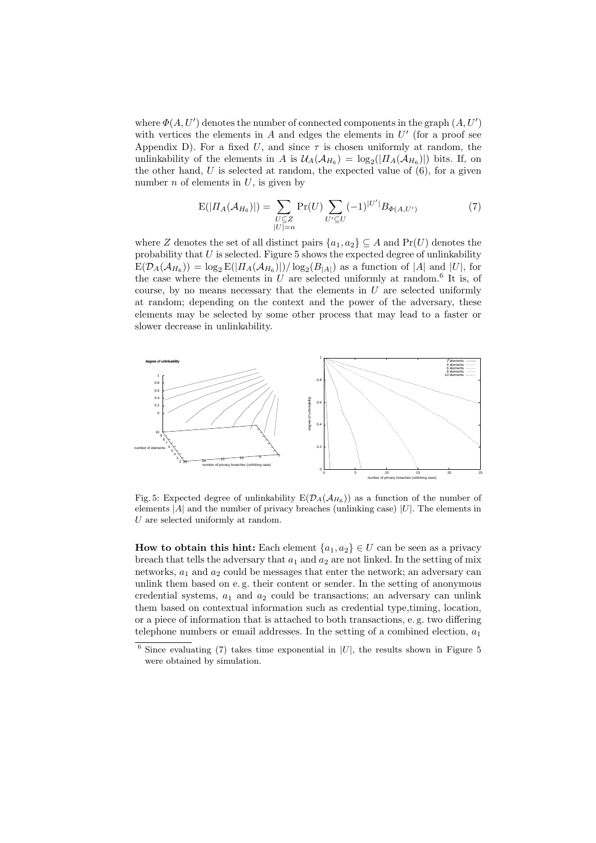where  $\Phi(A, U')$  denotes the number of connected components in the graph  $(A, U')$ with vertices the elements in  $A$  and edges the elements in  $U'$  (for a proof see Appendix D). For a fixed U, and since  $\tau$  is chosen uniformly at random, the unlinkability of the elements in A is  $\mathcal{U}_A(\mathcal{A}_{H_6}) = \log_2(|\Pi_A(\mathcal{A}_{H_6})|)$  bits. If, on the other hand, U is selected at random, the expected value of  $(6)$ , for a given number  $n$  of elements in  $U$ , is given by

$$
E(|\Pi_A(\mathcal{A}_{H_6})|) = \sum_{\substack{U \subseteq Z \\ |U| = n}} \Pr(U) \sum_{U' \subseteq U} (-1)^{|U'|} B_{\Phi(A, U')} \tag{7}
$$

where Z denotes the set of all distinct pairs  $\{a_1, a_2\} \subseteq A$  and  $Pr(U)$  denotes the probability that  $U$  is selected. Figure 5 shows the expected degree of unlinkability  $E(\mathcal{D}_A(\mathcal{A}_{H_6})) = \log_2 E(|H_A(\mathcal{A}_{H_6})|)/\log_2(B_{|A|})$  as a function of |A| and |U|, for the case where the elements in  $U$  are selected uniformly at random.<sup>6</sup> It is, of course, by no means necessary that the elements in  $U$  are selected uniformly at random; depending on the context and the power of the adversary, these elements may be selected by some other process that may lead to a faster or slower decrease in unlinkability.



Fig. 5: Expected degree of unlinkability  $E(D_A(\mathcal{A}_{H_6}))$  as a function of the number of elements  $|A|$  and the number of privacy breaches (unlinking case)  $|U|$ . The elements in  $U$  are selected uniformly at random.

How to obtain this hint: Each element  $\{a_1, a_2\} \in U$  can be seen as a privacy breach that tells the adversary that  $a_1$  and  $a_2$  are not linked. In the setting of mix networks,  $a_1$  and  $a_2$  could be messages that enter the network; an adversary can unlink them based on e. g. their content or sender. In the setting of anonymous credential systems,  $a_1$  and  $a_2$  could be transactions; an adversary can unlink them based on contextual information such as credential type,timing, location, or a piece of information that is attached to both transactions, e. g. two differing telephone numbers or email addresses. In the setting of a combined election,  $a_1$ 

 $6$  Since evaluating (7) takes time exponential in  $|U|$ , the results shown in Figure 5 were obtained by simulation.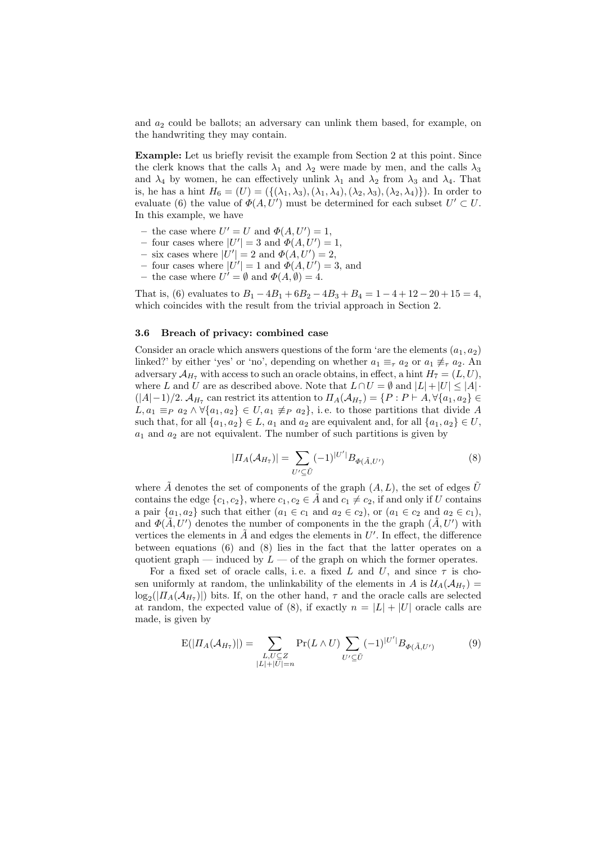and  $a_2$  could be ballots; an adversary can unlink them based, for example, on the handwriting they may contain.

Example: Let us briefly revisit the example from Section 2 at this point. Since the clerk knows that the calls  $\lambda_1$  and  $\lambda_2$  were made by men, and the calls  $\lambda_3$ and  $\lambda_4$  by women, he can effectively unlink  $\lambda_1$  and  $\lambda_2$  from  $\lambda_3$  and  $\lambda_4$ . That is, he has a hint  $H_6 = (U) = (\{(\lambda_1, \lambda_3), (\lambda_1, \lambda_4), (\lambda_2, \lambda_3), (\lambda_2, \lambda_4)\})$ . In order to evaluate (6) the value of  $\Phi(A, U')$  must be determined for each subset  $U' \subset U$ . In this example, we have

- the case where  $U' = U$  and  $\Phi(A, U') = 1$ ,
- four cases where  $|U'| = 3$  and  $\Phi(A, U') = 1$ ,
- six cases where  $|U'| = 2$  and  $\Phi(A, U') = 2$ ,
- four cases where  $|U'| = 1$  and  $\Phi(A, U') = 3$ , and
- the case where  $U' = \emptyset$  and  $\Phi(A, \emptyset) = 4$ .

That is, (6) evaluates to  $B_1 - 4B_1 + 6B_2 - 4B_3 + B_4 = 1 - 4 + 12 - 20 + 15 = 4$ , which coincides with the result from the trivial approach in Section 2.

#### 3.6 Breach of privacy: combined case

Consider an oracle which answers questions of the form 'are the elements  $(a_1, a_2)$ linked?' by either 'yes' or 'no', depending on whether  $a_1 \equiv_\tau a_2$  or  $a_1 \not\equiv_\tau a_2$ . An adversary  $\mathcal{A}_{H_7}$  with access to such an oracle obtains, in effect, a hint  $H_7 = (L, U)$ , where L and U are as described above. Note that  $L \cap U = \emptyset$  and  $|L| + |U| \leq |A| \cdot$  $(|A|-1)/2$ .  $\mathcal{A}_{H_7}$  can restrict its attention to  $\Pi_A(\mathcal{A}_{H_7}) = \{P : P \vdash A, \forall \{a_1, a_2\} \in$  $L, a_1 \equiv_P a_2 \wedge \forall \{a_1, a_2\} \in U, a_1 \not\equiv_P a_2\}, \text{ i.e. to those partitions that divide } A$ such that, for all  $\{a_1, a_2\} \in L$ ,  $a_1$  and  $a_2$  are equivalent and, for all  $\{a_1, a_2\} \in U$ ,  $a_1$  and  $a_2$  are not equivalent. The number of such partitions is given by

$$
|\Pi_A(\mathcal{A}_{H_7})| = \sum_{U' \subseteq \tilde{U}} (-1)^{|U'|} B_{\Phi(\tilde{A}, U')} \tag{8}
$$

where A denotes the set of components of the graph  $(A, L)$ , the set of edges U contains the edge  $\{c_1, c_2\}$ , where  $c_1, c_2 \in \overline{A}$  and  $c_1 \neq c_2$ , if and only if U contains a pair  $\{a_1, a_2\}$  such that either  $(a_1 \in c_1 \text{ and } a_2 \in c_2)$ , or  $(a_1 \in c_2 \text{ and } a_2 \in c_1)$ , and  $\Phi(\tilde{A}, U')$  denotes the number of components in the the graph  $(\tilde{A}, U')$  with vertices the elements in  $\tilde{A}$  and edges the elements in  $U'$ . In effect, the difference between equations (6) and (8) lies in the fact that the latter operates on a quotient graph — induced by  $L$  — of the graph on which the former operates.

For a fixed set of oracle calls, i.e. a fixed L and U, and since  $\tau$  is chosen uniformly at random, the unlinkability of the elements in A is  $\mathcal{U}_A(\mathcal{A}_{H_7}) =$  $\log_2(|\Pi_A(A_{H_7})|)$  bits. If, on the other hand,  $\tau$  and the oracle calls are selected at random, the expected value of (8), if exactly  $n = |L| + |U|$  oracle calls are made, is given by

$$
E(|\Pi_{A}(\mathcal{A}_{H_{7}})|) = \sum_{\substack{L, U \subseteq Z \\ |L| + |U| = n}} Pr(L \wedge U) \sum_{U' \subseteq \tilde{U}} (-1)^{|U'|} B_{\Phi(\tilde{A}, U')} \tag{9}
$$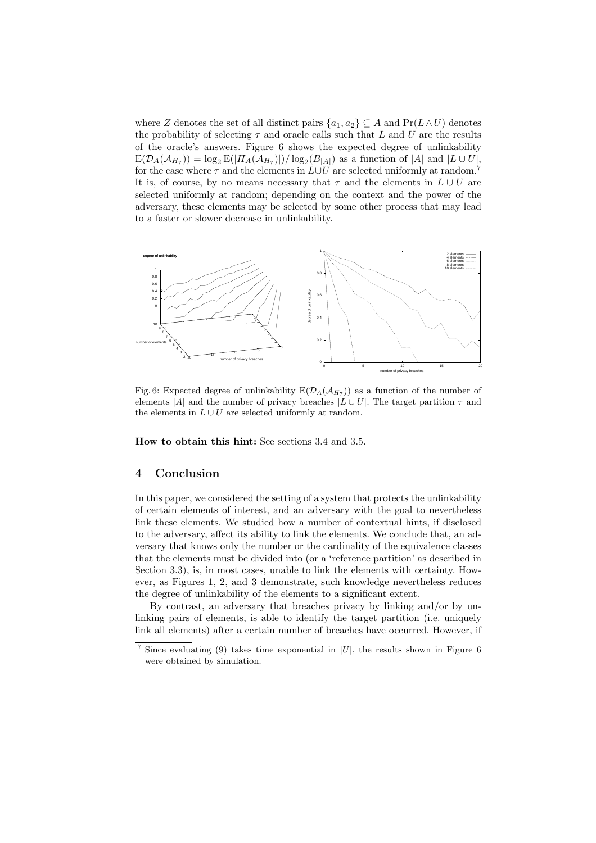where Z denotes the set of all distinct pairs  $\{a_1, a_2\} \subseteq A$  and  $Pr(L \wedge U)$  denotes the probability of selecting  $\tau$  and oracle calls such that L and U are the results of the oracle's answers. Figure 6 shows the expected degree of unlinkability  $E(\mathcal{D}_A(\mathcal{A}_{H_7})) = \log_2 E(|\Pi_A(\mathcal{A}_{H_7})|)/\log_2(B_{|A|})$  as a function of |A| and |L ∪ U|, for the case where  $\tau$  and the elements in  $L\cup U$  are selected uniformly at random.<sup>7</sup> It is, of course, by no means necessary that  $\tau$  and the elements in  $L \cup U$  are selected uniformly at random; depending on the context and the power of the adversary, these elements may be selected by some other process that may lead to a faster or slower decrease in unlinkability.



Fig. 6: Expected degree of unlinkability  $E(D_A(\mathcal{A}_{H_7}))$  as a function of the number of elements |A| and the number of privacy breaches  $|L \cup U|$ . The target partition  $\tau$  and the elements in  $L \cup U$  are selected uniformly at random.

How to obtain this hint: See sections 3.4 and 3.5.

## 4 Conclusion

In this paper, we considered the setting of a system that protects the unlinkability of certain elements of interest, and an adversary with the goal to nevertheless link these elements. We studied how a number of contextual hints, if disclosed to the adversary, affect its ability to link the elements. We conclude that, an adversary that knows only the number or the cardinality of the equivalence classes that the elements must be divided into (or a 'reference partition' as described in Section 3.3), is, in most cases, unable to link the elements with certainty. However, as Figures 1, 2, and 3 demonstrate, such knowledge nevertheless reduces the degree of unlinkability of the elements to a significant extent.

By contrast, an adversary that breaches privacy by linking and/or by unlinking pairs of elements, is able to identify the target partition (i.e. uniquely link all elements) after a certain number of breaches have occurred. However, if

<sup>&</sup>lt;sup>7</sup> Since evaluating (9) takes time exponential in  $|U|$ , the results shown in Figure 6 were obtained by simulation.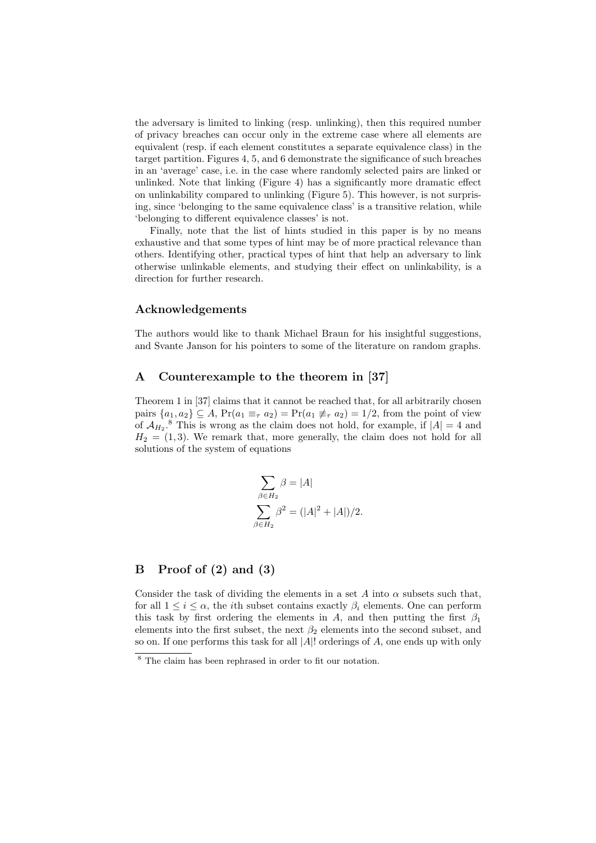the adversary is limited to linking (resp. unlinking), then this required number of privacy breaches can occur only in the extreme case where all elements are equivalent (resp. if each element constitutes a separate equivalence class) in the target partition. Figures 4, 5, and 6 demonstrate the significance of such breaches in an 'average' case, i.e. in the case where randomly selected pairs are linked or unlinked. Note that linking (Figure 4) has a significantly more dramatic effect on unlinkability compared to unlinking (Figure 5). This however, is not surprising, since 'belonging to the same equivalence class' is a transitive relation, while 'belonging to different equivalence classes' is not.

Finally, note that the list of hints studied in this paper is by no means exhaustive and that some types of hint may be of more practical relevance than others. Identifying other, practical types of hint that help an adversary to link otherwise unlinkable elements, and studying their effect on unlinkability, is a direction for further research.

## Acknowledgements

The authors would like to thank Michael Braun for his insightful suggestions, and Svante Janson for his pointers to some of the literature on random graphs.

# A Counterexample to the theorem in [37]

Theorem 1 in [37] claims that it cannot be reached that, for all arbitrarily chosen pairs  $\{a_1, a_2\} \subseteq A$ ,  $\Pr(a_1 \equiv_\tau a_2) = \Pr(a_1 \not\equiv_\tau a_2) = 1/2$ , from the point of view of  $\mathcal{A}_{H_2}$ .<sup>8</sup> This is wrong as the claim does not hold, for example, if  $|A| = 4$  and  $H_2 = (1, 3)$ . We remark that, more generally, the claim does not hold for all solutions of the system of equations

$$
\sum_{\beta \in H_2} \beta = |A|
$$
  

$$
\sum_{\beta \in H_2} \beta^2 = (|A|^2 + |A|)/2.
$$

## B Proof of (2) and (3)

Consider the task of dividing the elements in a set A into  $\alpha$  subsets such that, for all  $1 \leq i \leq \alpha$ , the *i*th subset contains exactly  $\beta_i$  elements. One can perform this task by first ordering the elements in A, and then putting the first  $\beta_1$ elements into the first subset, the next  $\beta_2$  elements into the second subset, and so on. If one performs this task for all  $|A|$ ! orderings of A, one ends up with only

 $8$  The claim has been rephrased in order to fit our notation.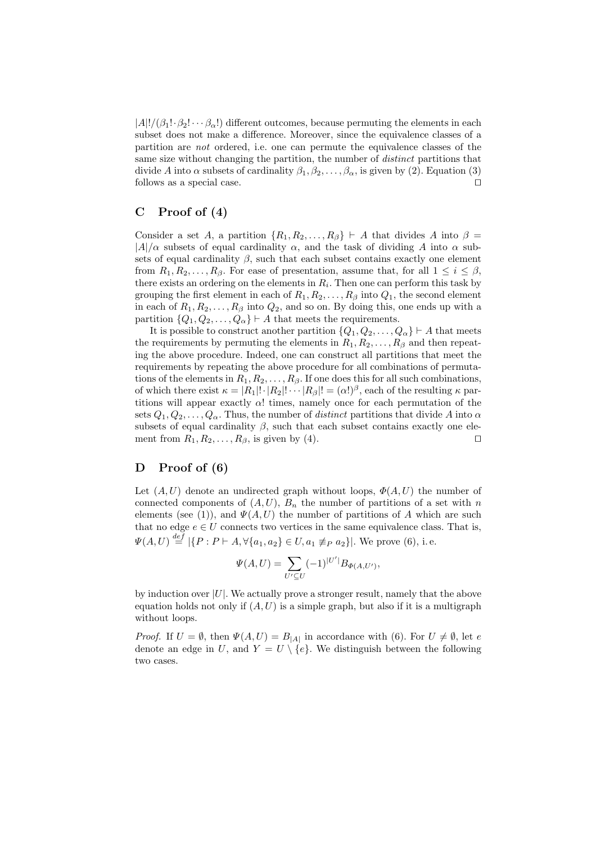$|A|!/( \beta_1! \cdot \beta_2! \cdots \beta_{\alpha}! )$  different outcomes, because permuting the elements in each subset does not make a difference. Moreover, since the equivalence classes of a partition are not ordered, i.e. one can permute the equivalence classes of the same size without changing the partition, the number of *distinct* partitions that divide A into  $\alpha$  subsets of cardinality  $\beta_1, \beta_2, \ldots, \beta_\alpha$ , is given by (2). Equation (3) follows as a special case.  $\Box$ 

## C Proof of (4)

Consider a set A, a partition  $\{R_1, R_2, \ldots, R_\beta\} \vdash A$  that divides A into  $\beta =$  $|A|/\alpha$  subsets of equal cardinality  $\alpha$ , and the task of dividing A into  $\alpha$  subsets of equal cardinality  $\beta$ , such that each subset contains exactly one element from  $R_1, R_2, \ldots, R_\beta$ . For ease of presentation, assume that, for all  $1 \leq i \leq \beta$ , there exists an ordering on the elements in  $R_i$ . Then one can perform this task by grouping the first element in each of  $R_1, R_2, \ldots, R_\beta$  into  $Q_1$ , the second element in each of  $R_1, R_2, \ldots, R_\beta$  into  $Q_2$ , and so on. By doing this, one ends up with a partition  $\{Q_1, Q_2, \ldots, Q_\alpha\} \vdash A$  that meets the requirements.

It is possible to construct another partition  $\{Q_1, Q_2, \ldots, Q_\alpha\} \vdash A$  that meets the requirements by permuting the elements in  $R_1, R_2, \ldots, R_\beta$  and then repeating the above procedure. Indeed, one can construct all partitions that meet the requirements by repeating the above procedure for all combinations of permutations of the elements in  $R_1, R_2, \ldots, R_\beta$ . If one does this for all such combinations, of which there exist  $\kappa = |R_1|! \cdot |R_2|! \cdots |R_\beta|! = (\alpha!)^\beta$ , each of the resulting  $\kappa$  partitions will appear exactly  $\alpha$ ! times, namely once for each permutation of the sets  $Q_1, Q_2, \ldots, Q_\alpha$ . Thus, the number of *distinct* partitions that divide A into  $\alpha$ subsets of equal cardinality  $\beta$ , such that each subset contains exactly one element from  $R_1, R_2, \ldots, R_\beta$ , is given by (4).

## D Proof of (6)

Let  $(A, U)$  denote an undirected graph without loops,  $\Phi(A, U)$  the number of connected components of  $(A, U)$ ,  $B_n$  the number of partitions of a set with n elements (see (1)), and  $\Psi(A, U)$  the number of partitions of A which are such that no edge  $e \in U$  connects two vertices in the same equivalence class. That is,  $\Psi(A, U) \stackrel{def}{=} |\{P : P \vdash A, \forall \{a_1, a_2\} \in U, a_1 \not\equiv_P a_2\}|.$  We prove (6), i.e.

$$
\Psi(A, U) = \sum_{U' \subseteq U} (-1)^{|U'|} B_{\Phi(A, U')},
$$

by induction over  $|U|$ . We actually prove a stronger result, namely that the above equation holds not only if  $(A, U)$  is a simple graph, but also if it is a multigraph without loops.

*Proof.* If  $U = \emptyset$ , then  $\Psi(A, U) = B_{|A|}$  in accordance with (6). For  $U \neq \emptyset$ , let e denote an edge in U, and  $Y = U \setminus \{e\}$ . We distinguish between the following two cases.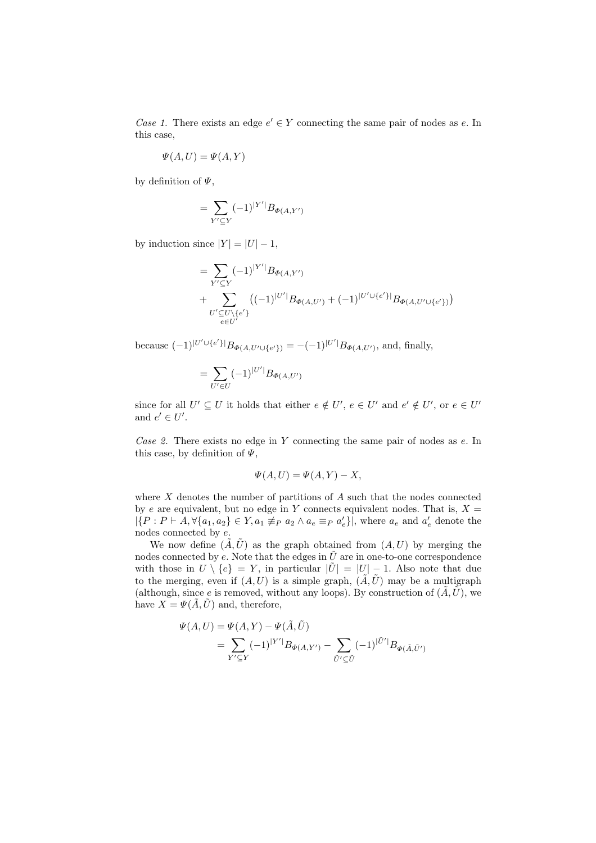Case 1. There exists an edge  $e' \in Y$  connecting the same pair of nodes as e. In this case,

$$
\Psi(A, U) = \Psi(A, Y)
$$

by definition of  $\Psi$ .

$$
=\sum_{Y'\subseteq Y}(-1)^{|Y'|}B_{\Phi(A,Y')}
$$

by induction since  $|Y| = |U| - 1$ ,

$$
= \sum_{Y'\subseteq Y} (-1)^{|Y'|} B_{\Phi(A,Y')} + \sum_{U'\subseteq U\setminus\{e'\}} ((-1)^{|U'|} B_{\Phi(A,U')} + (-1)^{|U'\cup\{e'\}|} B_{\Phi(A,U'\cup\{e'\})})
$$

because  $(-1)^{|U' \cup \{e'\}|}B_{\Phi(A, U' \cup \{e'\})} = -(-1)^{|U'|}B_{\Phi(A, U')},$  and, finally,

$$
= \sum_{U' \in U} (-1)^{|U'|} B_{\Phi(A, U')}
$$

since for all  $U' \subseteq U$  it holds that either  $e \notin U'$ ,  $e \in U'$  and  $e' \notin U'$ , or  $e \in U'$ and  $e' \in U'$ .

Case 2. There exists no edge in Y connecting the same pair of nodes as e. In this case, by definition of  $\Psi$ ,

$$
\Psi(A, U) = \Psi(A, Y) - X,
$$

where  $X$  denotes the number of partitions of  $A$  such that the nodes connected by e are equivalent, but no edge in Y connects equivalent nodes. That is,  $X =$  $|\{P : P \vdash A, \forall \{a_1, a_2\} \in Y, a_1 \not\equiv_P a_2 \land a_e \equiv_P a'_e\}|$ , where  $a_e$  and  $a'_e$  denote the nodes connected by e.

We now define  $(\tilde{A}, \tilde{U})$  as the graph obtained from  $(A, U)$  by merging the nodes connected by e. Note that the edges in  $\tilde{U}$  are in one-to-one correspondence with those in  $U \setminus \{e\} = Y$ , in particular  $|\tilde{U}| = |U| - 1$ . Also note that due to the merging, even if  $(A, U)$  is a simple graph,  $(\tilde{A}, \tilde{U})$  may be a multigraph (although, since e is removed, without any loops). By construction of  $(\tilde{A}, \tilde{U})$ , we have  $X = \Psi(\tilde{A}, \tilde{U})$  and, therefore,

$$
\Psi(A, U) = \Psi(A, Y) - \Psi(\tilde{A}, \tilde{U})
$$
  
= 
$$
\sum_{Y' \subseteq Y} (-1)^{|Y'|} B_{\Phi(A, Y')} - \sum_{\tilde{U}' \subseteq \tilde{U}} (-1)^{|\tilde{U}'|} B_{\Phi(\tilde{A}, \tilde{U}')}
$$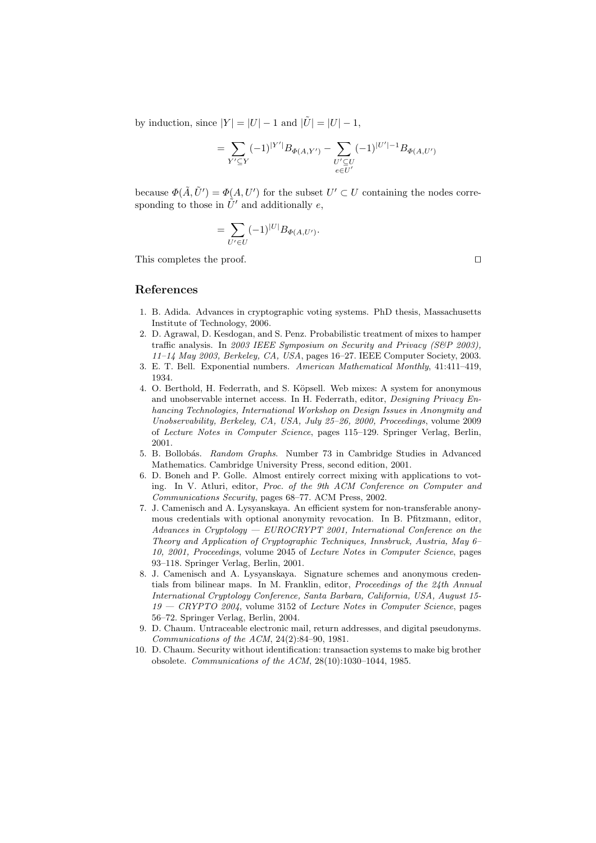by induction, since  $|Y| = |U| - 1$  and  $|\tilde{U}| = |U| - 1$ ,

$$
= \sum_{Y'\subseteq Y} (-1)^{|Y'|} B_{\Phi(A,Y')} - \sum_{\substack{U'\subseteq U\\e\in U'}} (-1)^{|U'|-1} B_{\Phi(A,U')}
$$

because  $\Phi(\tilde{A}, \tilde{U}') = \Phi(A, U')$  for the subset  $U' \subset U$  containing the nodes corresponding to those in  $\tilde{U}'$  and additionally e,

$$
= \sum_{U' \in U} (-1)^{|U|} B_{\Phi(A, U')}.
$$

This completes the proof.  $\Box$ 

# References

- 1. B. Adida. Advances in cryptographic voting systems. PhD thesis, Massachusetts Institute of Technology, 2006.
- 2. D. Agrawal, D. Kesdogan, and S. Penz. Probabilistic treatment of mixes to hamper traffic analysis. In 2003 IEEE Symposium on Security and Privacy (S&P 2003), 11–14 May 2003, Berkeley, CA, USA, pages 16–27. IEEE Computer Society, 2003.
- 3. E. T. Bell. Exponential numbers. American Mathematical Monthly, 41:411–419, 1934.
- 4. O. Berthold, H. Federrath, and S. Köpsell. Web mixes: A system for anonymous and unobservable internet access. In H. Federrath, editor, Designing Privacy Enhancing Technologies, International Workshop on Design Issues in Anonymity and Unobservability, Berkeley, CA, USA, July 25–26, 2000, Proceedings, volume 2009 of Lecture Notes in Computer Science, pages 115–129. Springer Verlag, Berlin, 2001.
- 5. B. Bollobás. Random Graphs. Number 73 in Cambridge Studies in Advanced Mathematics. Cambridge University Press, second edition, 2001.
- 6. D. Boneh and P. Golle. Almost entirely correct mixing with applications to voting. In V. Atluri, editor, Proc. of the 9th ACM Conference on Computer and Communications Security, pages 68–77. ACM Press, 2002.
- 7. J. Camenisch and A. Lysyanskaya. An efficient system for non-transferable anonymous credentials with optional anonymity revocation. In B. Pfitzmann, editor, Advances in Cryptology — EUROCRYPT 2001, International Conference on the Theory and Application of Cryptographic Techniques, Innsbruck, Austria, May 6– 10, 2001, Proceedings, volume 2045 of Lecture Notes in Computer Science, pages 93–118. Springer Verlag, Berlin, 2001.
- 8. J. Camenisch and A. Lysyanskaya. Signature schemes and anonymous credentials from bilinear maps. In M. Franklin, editor, Proceedings of the 24th Annual International Cryptology Conference, Santa Barbara, California, USA, August 15-  $19 - C\text{RYPTO } 2004$ , volume 3152 of *Lecture Notes in Computer Science*, pages 56–72. Springer Verlag, Berlin, 2004.
- 9. D. Chaum. Untraceable electronic mail, return addresses, and digital pseudonyms. Communications of the ACM, 24(2):84–90, 1981.
- 10. D. Chaum. Security without identification: transaction systems to make big brother obsolete. Communications of the ACM, 28(10):1030–1044, 1985.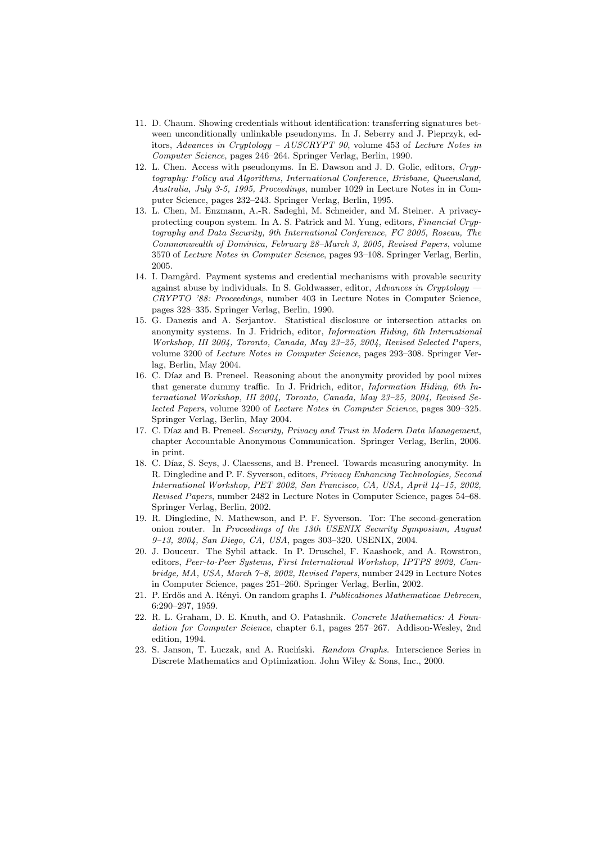- 11. D. Chaum. Showing credentials without identification: transferring signatures between unconditionally unlinkable pseudonyms. In J. Seberry and J. Pieprzyk, editors, Advances in Cryptology – AUSCRYPT 90, volume 453 of Lecture Notes in Computer Science, pages 246–264. Springer Verlag, Berlin, 1990.
- 12. L. Chen. Access with pseudonyms. In E. Dawson and J. D. Golic, editors, Cryptography: Policy and Algorithms, International Conference, Brisbane, Queensland, Australia, July 3-5, 1995, Proceedings, number 1029 in Lecture Notes in in Computer Science, pages 232–243. Springer Verlag, Berlin, 1995.
- 13. L. Chen, M. Enzmann, A.-R. Sadeghi, M. Schneider, and M. Steiner. A privacyprotecting coupon system. In A. S. Patrick and M. Yung, editors, Financial Cryptography and Data Security, 9th International Conference, FC 2005, Roseau, The Commonwealth of Dominica, February 28–March 3, 2005, Revised Papers, volume 3570 of Lecture Notes in Computer Science, pages 93–108. Springer Verlag, Berlin, 2005.
- 14. I. Damgård. Payment systems and credential mechanisms with provable security against abuse by individuals. In S. Goldwasser, editor, Advances in Cryptology CRYPTO '88: Proceedings, number 403 in Lecture Notes in Computer Science, pages 328–335. Springer Verlag, Berlin, 1990.
- 15. G. Danezis and A. Serjantov. Statistical disclosure or intersection attacks on anonymity systems. In J. Fridrich, editor, Information Hiding, 6th International Workshop, IH 2004, Toronto, Canada, May 23–25, 2004, Revised Selected Papers, volume 3200 of Lecture Notes in Computer Science, pages 293–308. Springer Verlag, Berlin, May 2004.
- 16. C. Díaz and B. Preneel. Reasoning about the anonymity provided by pool mixes that generate dummy traffic. In J. Fridrich, editor, Information Hiding, 6th International Workshop, IH 2004, Toronto, Canada, May 23–25, 2004, Revised Selected Papers, volume 3200 of Lecture Notes in Computer Science, pages 309–325. Springer Verlag, Berlin, May 2004.
- 17. C. Díaz and B. Preneel. Security, Privacy and Trust in Modern Data Management, chapter Accountable Anonymous Communication. Springer Verlag, Berlin, 2006. in print.
- 18. C. Díaz, S. Seys, J. Claessens, and B. Preneel. Towards measuring anonymity. In R. Dingledine and P. F. Syverson, editors, Privacy Enhancing Technologies, Second International Workshop, PET 2002, San Francisco, CA, USA, April 14–15, 2002, Revised Papers, number 2482 in Lecture Notes in Computer Science, pages 54–68. Springer Verlag, Berlin, 2002.
- 19. R. Dingledine, N. Mathewson, and P. F. Syverson. Tor: The second-generation onion router. In Proceedings of the 13th USENIX Security Symposium, August 9–13, 2004, San Diego, CA, USA, pages 303–320. USENIX, 2004.
- 20. J. Douceur. The Sybil attack. In P. Druschel, F. Kaashoek, and A. Rowstron, editors, Peer-to-Peer Systems, First International Workshop, IPTPS 2002, Cambridge, MA, USA, March 7–8, 2002, Revised Papers, number 2429 in Lecture Notes in Computer Science, pages 251–260. Springer Verlag, Berlin, 2002.
- 21. P. Erdős and A. Rényi. On random graphs I. Publicationes Mathematicae Debrecen, 6:290–297, 1959.
- 22. R. L. Graham, D. E. Knuth, and O. Patashnik. Concrete Mathematics: A Foundation for Computer Science, chapter 6.1, pages 257–267. Addison-Wesley, 2nd edition, 1994.
- 23. S. Janson, T. Łuczak, and A. Ruciński. Random Graphs. Interscience Series in Discrete Mathematics and Optimization. John Wiley & Sons, Inc., 2000.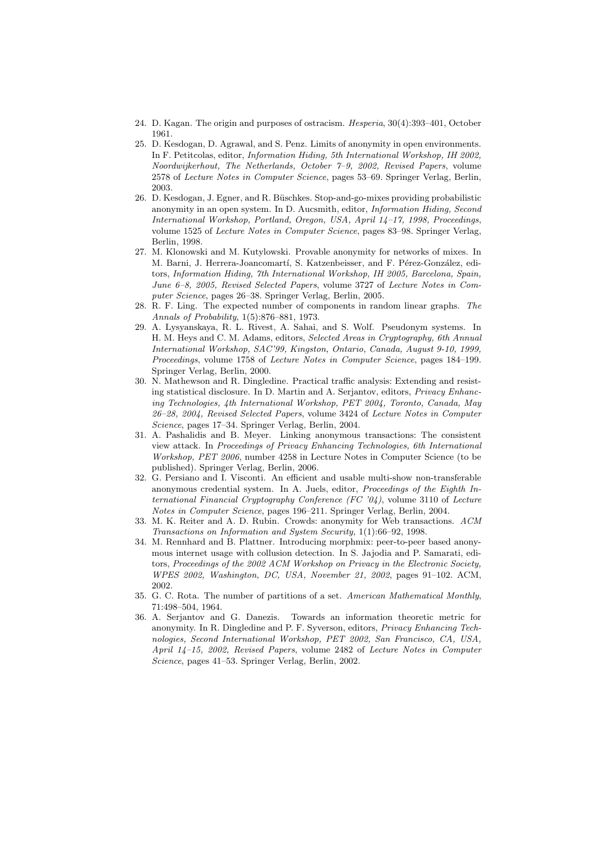- 24. D. Kagan. The origin and purposes of ostracism. Hesperia, 30(4):393–401, October 1961.
- 25. D. Kesdogan, D. Agrawal, and S. Penz. Limits of anonymity in open environments. In F. Petitcolas, editor, Information Hiding, 5th International Workshop, IH 2002, Noordwijkerhout, The Netherlands, October 7–9, 2002, Revised Papers, volume 2578 of Lecture Notes in Computer Science, pages 53–69. Springer Verlag, Berlin, 2003.
- 26. D. Kesdogan, J. Egner, and R. Büschkes. Stop-and-go-mixes providing probabilistic anonymity in an open system. In D. Aucsmith, editor, Information Hiding, Second International Workshop, Portland, Oregon, USA, April 14–17, 1998, Proceedings, volume 1525 of Lecture Notes in Computer Science, pages 83–98. Springer Verlag, Berlin, 1998.
- 27. M. Klonowski and M. Kutylowski. Provable anonymity for networks of mixes. In M. Barni, J. Herrera-Joancomartí, S. Katzenbeisser, and F. Pérez-González, editors, Information Hiding, 7th International Workshop, IH 2005, Barcelona, Spain, June 6–8, 2005, Revised Selected Papers, volume 3727 of Lecture Notes in Computer Science, pages 26–38. Springer Verlag, Berlin, 2005.
- 28. R. F. Ling. The expected number of components in random linear graphs. The Annals of Probability, 1(5):876–881, 1973.
- 29. A. Lysyanskaya, R. L. Rivest, A. Sahai, and S. Wolf. Pseudonym systems. In H. M. Heys and C. M. Adams, editors, Selected Areas in Cryptography, 6th Annual International Workshop, SAC'99, Kingston, Ontario, Canada, August 9-10, 1999, Proceedings, volume 1758 of Lecture Notes in Computer Science, pages 184–199. Springer Verlag, Berlin, 2000.
- 30. N. Mathewson and R. Dingledine. Practical traffic analysis: Extending and resisting statistical disclosure. In D. Martin and A. Serjantov, editors, Privacy Enhancing Technologies, 4th International Workshop, PET 2004, Toronto, Canada, May 26–28, 2004, Revised Selected Papers, volume 3424 of Lecture Notes in Computer Science, pages 17–34. Springer Verlag, Berlin, 2004.
- 31. A. Pashalidis and B. Meyer. Linking anonymous transactions: The consistent view attack. In Proceedings of Privacy Enhancing Technologies, 6th International Workshop, PET 2006, number 4258 in Lecture Notes in Computer Science (to be published). Springer Verlag, Berlin, 2006.
- 32. G. Persiano and I. Visconti. An efficient and usable multi-show non-transferable anonymous credential system. In A. Juels, editor, Proceedings of the Eighth International Financial Cryptography Conference  $(FC'04)$ , volume 3110 of Lecture Notes in Computer Science, pages 196–211. Springer Verlag, Berlin, 2004.
- 33. M. K. Reiter and A. D. Rubin. Crowds: anonymity for Web transactions. ACM Transactions on Information and System Security, 1(1):66–92, 1998.
- 34. M. Rennhard and B. Plattner. Introducing morphmix: peer-to-peer based anonymous internet usage with collusion detection. In S. Jajodia and P. Samarati, editors, Proceedings of the 2002 ACM Workshop on Privacy in the Electronic Society, WPES 2002, Washington, DC, USA, November 21, 2002, pages 91–102. ACM, 2002.
- 35. G. C. Rota. The number of partitions of a set. American Mathematical Monthly, 71:498–504, 1964.
- 36. A. Serjantov and G. Danezis. Towards an information theoretic metric for anonymity. In R. Dingledine and P. F. Syverson, editors, Privacy Enhancing Technologies, Second International Workshop, PET 2002, San Francisco, CA, USA, April 14–15, 2002, Revised Papers, volume 2482 of Lecture Notes in Computer Science, pages 41–53. Springer Verlag, Berlin, 2002.